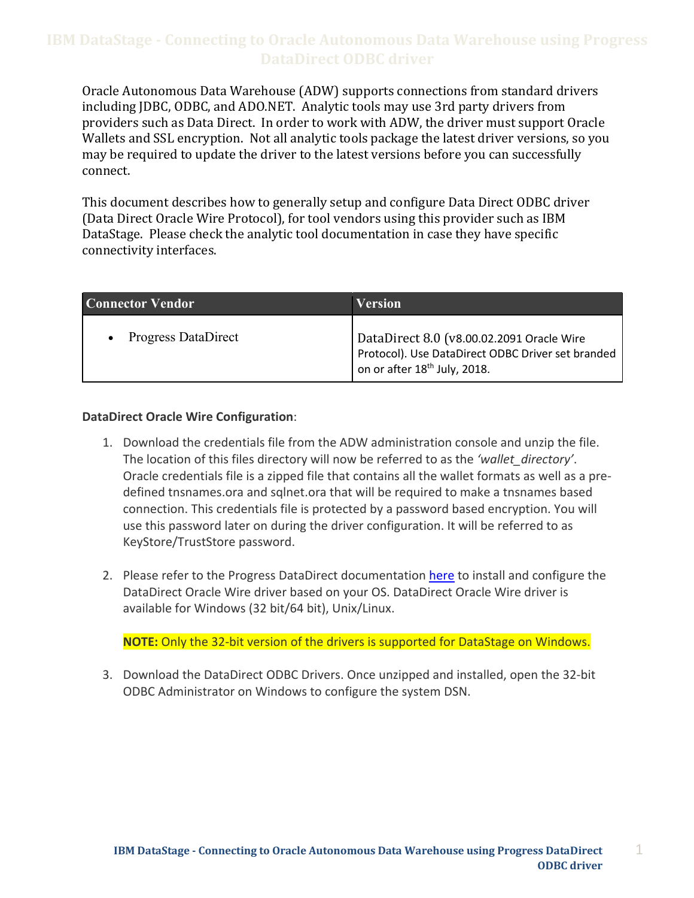Oracle Autonomous Data Warehouse (ADW) supports connections from standard drivers including JDBC, ODBC, and ADO.NET. Analytic tools may use 3rd party drivers from providers such as Data Direct. In order to work with ADW, the driver must support Oracle may be required to update the driver to the latest versions before you can successfully Wallets and SSL encryption. Not all analytic tools package the latest driver versions, so you connect.

 This document describes how to generally setup and configure Data Direct ODBC driver DataStage. Please check the analytic tool documentation in case they have specific (Data Direct Oracle Wire Protocol), for tool vendors using this provider such as IBM connectivity interfaces.

| <b>Connector Vendor</b>    | <b>Version</b>                                                                                                                             |
|----------------------------|--------------------------------------------------------------------------------------------------------------------------------------------|
| <b>Progress DataDirect</b> | DataDirect 8.0 (v8.00.02.2091 Oracle Wire<br>Protocol). Use DataDirect ODBC Driver set branded<br>on or after 18 <sup>th</sup> July, 2018. |

#### **DataDirect Oracle Wire Configuration**:

- 1. Download the credentials file from the ADW administration console and unzip the file. The location of this files directory will now be referred to as the *'wallet\_directory'*. Oracle credentials file is a zipped file that contains all the wallet formats as well as a pre- defined tnsnames.ora and sqlnet.ora that will be required to make a tnsnames based connection. This credentials file is protected by a password based encryption. You will use this password later on during the driver configuration. It will be referred to as KeyStore/TrustStore password.
- 2. Please refer to the Progress DataDirect documentation here to install and configure the DataDirect Oracle Wire driver based on your OS. DataDirect Oracle Wire driver is available for Windows (32 bit/64 bit), Unix/Linux.

**NOTE:** Only the 32-bit version of the drivers is supported for DataStage on Windows.

 3. Download the DataDirect ODBC Drivers. Once unzipped and installed, open the 32-bit ODBC Administrator on Windows to configure the system DSN.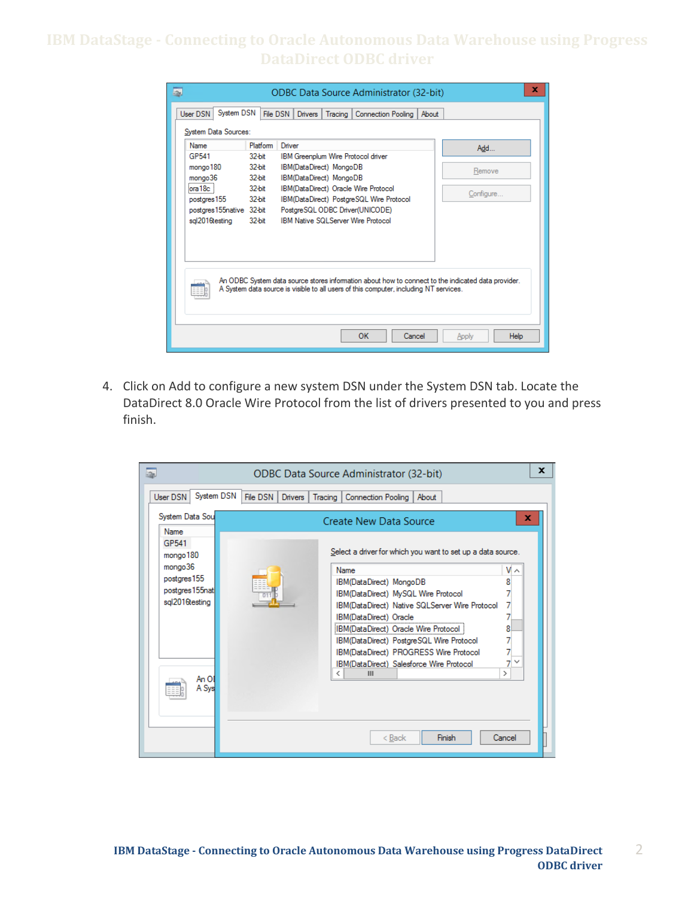| x<br>表<br><b>ODBC Data Source Administrator (32-bit)</b>                                                                                                                                    |           |                                                                      |                      |  |  |
|---------------------------------------------------------------------------------------------------------------------------------------------------------------------------------------------|-----------|----------------------------------------------------------------------|----------------------|--|--|
| System DSN<br><b>User DSN</b>                                                                                                                                                               |           | File DSN<br><b>Drivers</b><br>Connection Pooling<br>About<br>Tracing |                      |  |  |
| System Data Sources:                                                                                                                                                                        |           |                                                                      |                      |  |  |
| Name                                                                                                                                                                                        | Platform  | Driver                                                               | Add                  |  |  |
| GP541                                                                                                                                                                                       | $32$ -bit | IBM Greenplum Wire Protocol driver                                   |                      |  |  |
| mongo 180                                                                                                                                                                                   | 32-bit    | IBM(DataDirect) MongoDB<br>Remove                                    |                      |  |  |
| mongo36                                                                                                                                                                                     | $32$ -bit | IBM(DataDirect) MongoDB                                              |                      |  |  |
| iora 18c                                                                                                                                                                                    | 32-bit    | IBM(DataDirect) Oracle Wire Protocol<br>Configure                    |                      |  |  |
| postares 155                                                                                                                                                                                | $32$ -bit | IBM(DataDirect) PostgreSQL Wire Protocol                             |                      |  |  |
| postgres 155 native 32-bit                                                                                                                                                                  |           | PostgreSQL ODBC Driver(UNICODE)                                      |                      |  |  |
| sgl2016testing<br>32-bit<br><b>IBM Native SQLServer Wire Protocol</b>                                                                                                                       |           |                                                                      |                      |  |  |
|                                                                                                                                                                                             |           |                                                                      |                      |  |  |
|                                                                                                                                                                                             |           |                                                                      |                      |  |  |
|                                                                                                                                                                                             |           |                                                                      |                      |  |  |
| An ODBC System data source stores information about how to connect to the indicated data provider.<br>A System data source is visible to all users of this computer, including NT services. |           |                                                                      |                      |  |  |
|                                                                                                                                                                                             |           | <b>OK</b><br>Cancel                                                  | <b>Help</b><br>Apply |  |  |

 4. Click on Add to configure a new system DSN under the System DSN tab. Locate the DataDirect 8.0 Oracle Wire Protocol from the list of drivers presented to you and press finish.

| x<br>ODBC Data Source Administrator (32-bit) |                                                                                      |  |                                                                                    |    |  |
|----------------------------------------------|--------------------------------------------------------------------------------------|--|------------------------------------------------------------------------------------|----|--|
| User DSN                                     | System DSN<br>File DSN<br><b>Drivers</b><br>Tracing  <br>Connection Pooling<br>About |  |                                                                                    |    |  |
| <b>Name</b>                                  | System Data Sou<br>x<br>Create New Data Source                                       |  |                                                                                    |    |  |
| GP541<br>mongo 180                           |                                                                                      |  | Select a driver for which you want to set up a data source.                        |    |  |
| mongo36                                      |                                                                                      |  | <b>Name</b>                                                                        | ∨∧ |  |
| postgres 155                                 |                                                                                      |  | IBM(DataDirect) MongoDB                                                            | 8  |  |
| postgres 155nat                              |                                                                                      |  | IBM(DataDirect) MySQL Wire Protocol                                                |    |  |
| sgl2016testing                               |                                                                                      |  | IBM(DataDirect) Native SQLServer Wire Protocol                                     |    |  |
|                                              |                                                                                      |  | IBM(DataDirect) Oracle                                                             |    |  |
|                                              |                                                                                      |  | IBM(DataDirect) Oracle Wire Protocol                                               | 8  |  |
|                                              |                                                                                      |  | IBM(DataDirect) PostgreSQL Wire Protocol                                           |    |  |
|                                              |                                                                                      |  | IBM(DataDirect) PROGRESS Wire Protocol<br>IBM(DataDirect) Salesforce Wire Protocol |    |  |
|                                              |                                                                                      |  | Ш<br>←                                                                             | >  |  |
|                                              | An Ol<br>A Syst                                                                      |  |                                                                                    |    |  |
|                                              |                                                                                      |  |                                                                                    |    |  |
|                                              |                                                                                      |  |                                                                                    |    |  |
|                                              |                                                                                      |  |                                                                                    |    |  |
| $Back$<br>Finish<br>Cancel                   |                                                                                      |  |                                                                                    |    |  |
|                                              |                                                                                      |  |                                                                                    |    |  |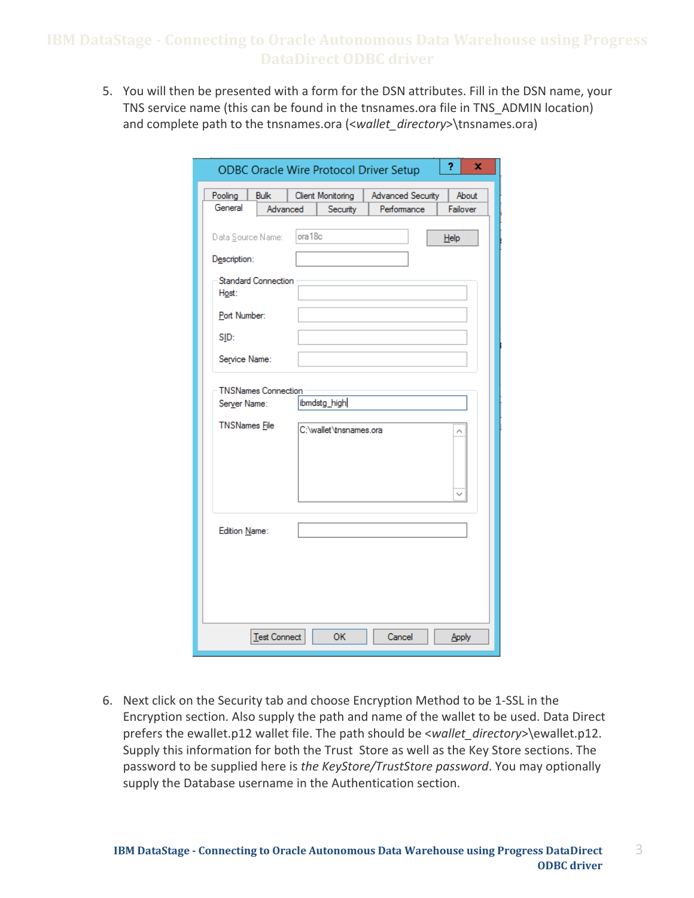5. You will then be presented with a form for the DSN attributes. Fill in the DSN name, your TNS service name (this can be found in the tnsnames.ora file in TNS\_ADMIN location) and complete path to the tnsnames.ora (<*wallet\_directory*>\tnsnames.ora)

| <b>ODBC Oracle Wire Protocol Driver Setup</b>                      |                     |         | 2                                      | x                 |      |          |
|--------------------------------------------------------------------|---------------------|---------|----------------------------------------|-------------------|------|----------|
| Pooling                                                            | <b>Bulk</b>         |         | Client Monitoring                      | Advanced Security |      | About    |
| General                                                            | Advanced            |         | Security                               | Performance       |      | Failover |
| Data Source Name:<br>Description:                                  |                     | ora 18c |                                        |                   | Help |          |
| <b>Standard Connection</b><br>Host:                                |                     |         |                                        |                   |      |          |
| Port Number:                                                       |                     |         |                                        |                   |      |          |
| SID:                                                               |                     |         |                                        |                   |      |          |
| Service Name:                                                      |                     |         |                                        |                   |      |          |
| <b>TNSNames Connection</b><br>Server Name:<br><b>TNSNames</b> File |                     |         | ibmdstg_high<br>C:\wallet\tnsnames.ora |                   |      |          |
| Edition Name:                                                      |                     |         |                                        |                   |      |          |
|                                                                    | <b>Test Connect</b> |         | OK                                     | Cancel            |      | Apply    |

 6. Next click on the Security tab and choose Encryption Method to be 1-SSL in the Encryption section. Also supply the path and name of the wallet to be used. Data Direct prefers the ewallet.p12 wallet file. The path should be <*wallet\_directory*>\ewallet.p12. Supply this information for both the Trust Store as well as the Key Store sections. The password to be supplied here is *the KeyStore/TrustStore password*. You may optionally supply the Database username in the Authentication section.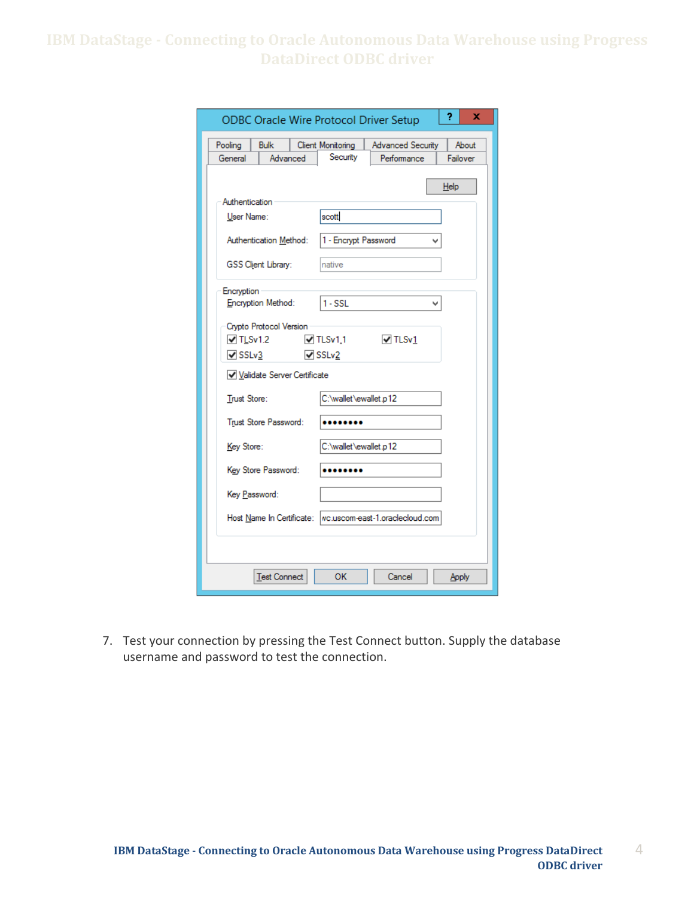| <b>ODBC Oracle Wire Protocol Driver Setup</b>               |                              |                          | 2<br>x   |
|-------------------------------------------------------------|------------------------------|--------------------------|----------|
| Pooling<br><b>Bulk</b>                                      | Client Monitoring            | <b>Advanced Security</b> | About    |
| General<br>Advanced                                         | Security                     | Performance              | Failover |
|                                                             |                              |                          | Help     |
| Authentication                                              |                              |                          |          |
| User Name:                                                  | scott                        |                          |          |
|                                                             |                              |                          |          |
| Authentication Method:                                      | 1 - Encrypt Password         |                          |          |
|                                                             |                              |                          |          |
| GSS Client Library:                                         | native                       |                          |          |
| Encryption                                                  |                              |                          |          |
| Encryption Method:                                          | $1 - SSL$                    |                          |          |
|                                                             |                              |                          |          |
| Crypto Protocol Version<br>$\sqrt{T}$ TLSv1.2               | $\blacktriangledown$ TLSv1.1 | $\triangledown$ TLSv1    |          |
| $\sqrt{\text{SSLv3}}$                                       | $\triangledown$ SSLv2        |                          |          |
|                                                             |                              |                          |          |
| Validate Server Certificate                                 |                              |                          |          |
| Trust Store:                                                | C:\wallet\ewallet.p12        |                          |          |
|                                                             |                              |                          |          |
| Trust Store Password:                                       |                              |                          |          |
| Key Store:                                                  | C:\wallet\ewallet.p12        |                          |          |
|                                                             |                              |                          |          |
| Key Store Password:                                         |                              |                          |          |
| Key Password:                                               |                              |                          |          |
|                                                             |                              |                          |          |
| Host Name In Certificate:   wc.uscom-east-1.oraclecloud.com |                              |                          |          |
|                                                             |                              |                          |          |
|                                                             |                              |                          |          |
|                                                             |                              |                          |          |
| <b>Test Connect</b>                                         | OK                           | Cancel                   | Apply    |

 7. Test your connection by pressing the Test Connect button. Supply the database username and password to test the connection.